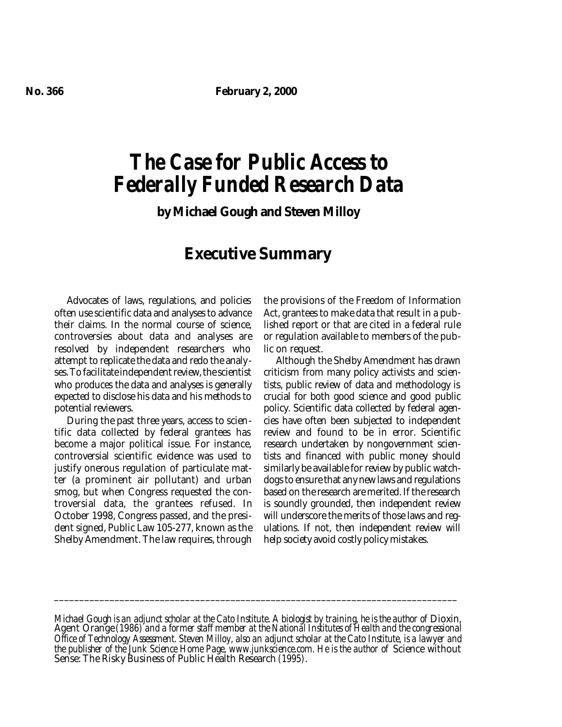# *The Case for Public Access to Federally Funded Research Data*

**by Michael Gough and Steven Milloy**

## **Executive Summary**

Advocates of laws, regulations, and policies often use scientific data and analyses to advance their claims. In the normal course of science, controversies about data and analyses are resolved by independent researchers who attempt to replicate the data and redo the analyses. To facilitate independent review, the scientist who produces the data and analyses is generally expected to disclose his data and his methods to potential reviewers.

During the past three years, access to scientific data collected by federal grantees has become a major political issue. For instance, controversial scientific evidence was used to justify onerous regulation of particulate matter (a prominent air pollutant) and urban smog, but when Congress requested the controversial data, the grantees refused. In October 1998, Congress passed, and the president signed, Public Law 105-277, known as the Shelby Amendment. The law requires, through the provisions of the Freedom of Information Act, grantees to make data that result in a published report or that are cited in a federal rule or regulation available to members of the public on request.

Although the Shelby Amendment has drawn criticism from many policy activists and scientists, public review of data and methodology is crucial for both good science and good public policy. Scientific data collected by federal agencies have often been subjected to independent review and found to be in error. Scientific research undertaken by nongovernment scientists and financed with public money should similarly be available for review by public watchdogs to ensure that any new laws and regulations based on the research are merited. If the research is soundly grounded, then independent review will underscore the merits of those laws and regulations. If not, then independent review will help society avoid costly policy mistakes.

*\_\_\_\_\_\_\_\_\_\_\_\_\_\_\_\_\_\_\_\_\_\_\_\_\_\_\_\_\_\_\_\_\_\_\_\_\_\_\_\_\_\_\_\_\_\_\_\_\_\_\_\_\_\_\_\_\_\_\_\_\_\_\_\_\_\_\_\_\_\_\_\_\_\_\_\_\_\_\_\_*

*Michael Gough is an adjunct scholar at the Cato Institute. A biologist by training, he is the author of* Dioxin, Agent Orange *(1986) and a former staff member at the National Institutes of Health and the congressional Office of Technology Assessment. Steven Milloy, also an adjunct scholar at the Cato Institute, is a lawyer and* the publisher of the Junk Science Home Page, www.junkscience.com. He is the author of Science without Sense: The Risky Business of Public Health Research *(1995)*.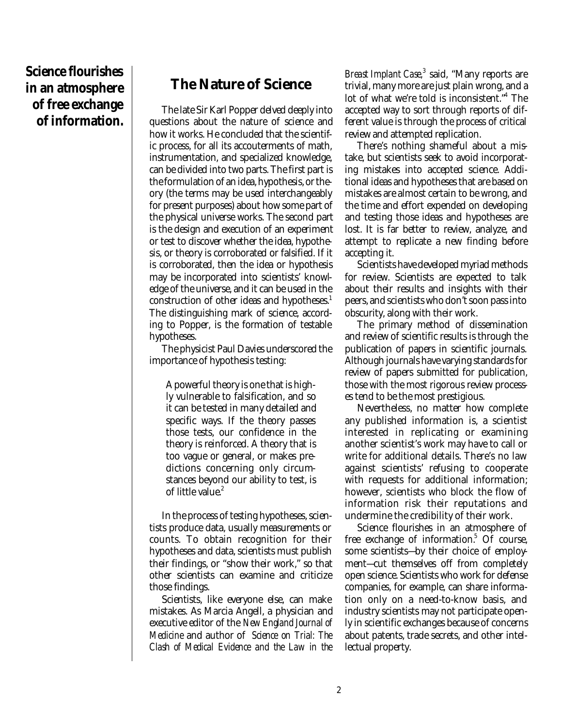**Science flourishes in an atmosphere of free exchange of information.**

### **The Nature of Science**

The late Sir Karl Popper delved deeply into questions about the nature of science and how it works. He concluded that the scientific process, for all its accouterments of math, instrumentation, and specialized knowledge, can be divided into two parts. The first part is the formulation of an idea, hypothesis, or theory (the terms may be used interchangeably for present purposes) about how some part of the physical universe works. The second part is the design and execution of an experiment or test to discover whether the idea, hypothesis, or theory is corroborated or falsified. If it is corroborated, then the idea or hypothesis may be incorporated into scientists' knowledge of the universe, and it can be used in the construction of other ideas and hypotheses.<sup>1</sup> The distinguishing mark of science, according to Popper, is the formation of testable hypotheses.

The physicist Paul Davies underscored the importance of hypothesis testing:

A powerful theory is one that is highly vulnerable to falsification, and so it can be tested in many detailed and specific ways. If the theory passes those tests, our confidence in the theory is reinforced. A theory that is too vague or general, or makes predictions concerning only circumstances beyond our ability to test, is of little value.<sup>2</sup>

In the process of testing hypotheses, scientists produce data, usually measurements or counts. To obtain recognition for their hypotheses and data, scientists must publish their findings, or "show their work," so that other scientists can examine and criticize those findings.

Scientists, like everyone else, can make mistakes. As Marcia Angell, a physician and executive editor of the *New England Journal of Medicine* and author of *Science on Trial: The Clash of Medical Evidence and the Law in the*

Breast Implant Case,<sup>3</sup> said, "Many reports are trivial, many more are just plain wrong, and a lot of what we're told is inconsistent."<sup>4</sup> The accepted way to sort through reports of different value is through the process of critical review and attempted replication.

There's nothing shameful about a mistake, but scientists seek to avoid incorporating mistakes into accepted science. Additional ideas and hypotheses that are based on mistakes are almost certain to be wrong, and the time and effort expended on developing and testing those ideas and hypotheses are lost. It is far better to review, analyze, and attempt to replicate a new finding before accepting it.

Scientists have developed myriad methods for review. Scientists are expected to talk about their results and insights with their peers, and scientists who don't soon pass into obscurity, along with their work.

The primary method of dissemination and review of scientific results is through the publication of papers in scientific journals. Although journals have varying standards for review of papers submitted for publication, those with the most rigorous review processes tend to be the most prestigious.

Nevertheless, no matter how complete any published information is, a scientist interested in replicating or examining another scientist's work may have to call or write for additional details. There's no law against scientists' refusing to cooperate with requests for additional information; however, scientists who block the flow of information risk their reputations and undermine the credibility of their work.

Science flourishes in an atmosphere of free exchange of information.<sup>5</sup> Of course, some scientists—by their choice of employment—cut themselves off from completely open science. Scientists who work for defense companies, for example, can share information only on a need-to-know basis, and industry scientists may not participate openly in scientific exchanges because of concerns about patents, trade secrets, and other intellectual property.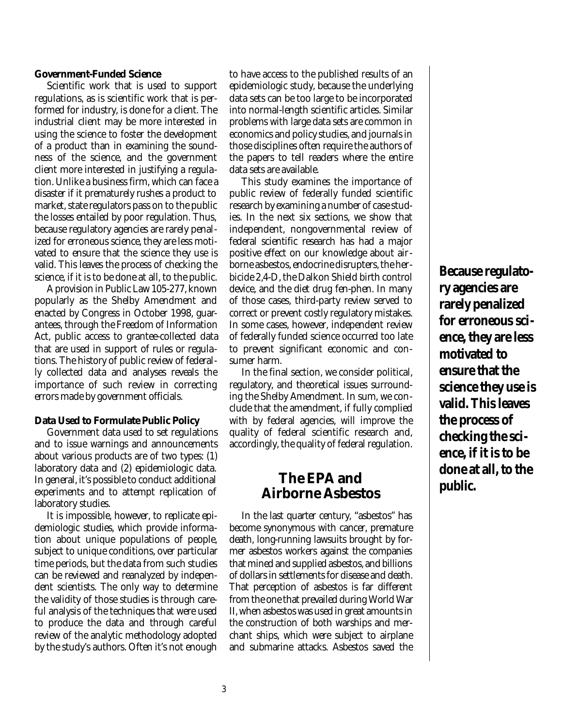#### **Government-Funded Science**

Scientific work that is used to support regulations, as is scientific work that is performed for industry, is done for a client. The industrial client may be more interested in using the science to foster the development of a product than in examining the soundness of the science, and the government client more interested in justifying a regulation. Unlike a business firm, which can face a disaster if it prematurely rushes a product to market, state regulators pass on to the public the losses entailed by poor regulation. Thus, because regulatory agencies are rarely penalized for erroneous science, they are less motivated to ensure that the science they use is valid. This leaves the process of checking the science, if it is to be done at all, to the public.

A provision in Public Law 105-277, known popularly as the Shelby Amendment and enacted by Congress in October 1998, guarantees, through the Freedom of Information Act, public access to grantee-collected data that are used in support of rules or regulations. The history of public review of federally collected data and analyses reveals the importance of such review in correcting errors made by government officials.

#### **Data Used to Formulate Public Policy**

Government data used to set regulations and to issue warnings and announcements about various products are of two types: (1) laboratory data and (2) epidemiologic data. In general, it's possible to conduct additional experiments and to attempt replication of laboratory studies.

It is impossible, however, to replicate epidemiologic studies, which provide information about unique populations of people, subject to unique conditions, over particular time periods, but the data from such studies can be reviewed and reanalyzed by independent scientists. The only way to determine the validity of those studies is through careful analysis of the techniques that were used to produce the data and through careful review of the analytic methodology adopted by the study's authors. Often it's not enough

to have access to the published results of an epidemiologic study, because the underlying data sets can be too large to be incorporated into normal-length scientific articles. Similar problems with large data sets are common in economics and policy studies, and journals in those disciplines often require the authors of the papers to tell readers where the entire data sets are available.

This study examines the importance of public review of federally funded scientific research by examining a number of case studies. In the next six sections, we show that independent, nongovernmental review of federal scientific research has had a major positive effect on our knowledge about airborne asbestos, endocrine disrupters, the herbicide 2,4-D, the Dalkon Shield birth control device, and the diet drug fen-phen. In many of those cases, third-party review served to correct or prevent costly regulatory mistakes. In some cases, however, independent review of federally funded science occurred too late to prevent significant economic and consumer harm.

In the final section, we consider political, regulatory, and theoretical issues surrounding the Shelby Amendment. In sum, we conclude that the amendment, if fully complied with by federal agencies, will improve the quality of federal scientific research and, accordingly, the quality of federal regulation.

### **The EPA and Airborne Asbestos**

In the last quarter century, "asbestos" has become synonymous with cancer, premature death, long-running lawsuits brought by former asbestos workers against the companies that mined and supplied asbestos, and billions of dollars in settlements for disease and death. That perception of asbestos is far different from the one that prevailed during World War II, when asbestos was used in great amounts in the construction of both warships and merchant ships, which were subject to airplane and submarine attacks. Asbestos saved the

**Because regulatory agencies are rarely penalized for erroneous science, they are less motivated to ensure that the science they use is valid. This leaves the process of checking the science, if it is to be done at all, to the public.**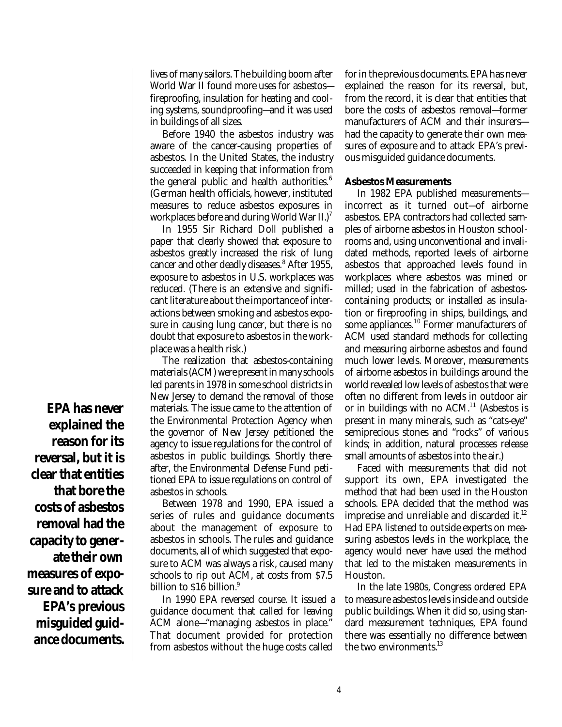lives of many sailors. The building boom after World War II found more uses for asbestos fireproofing, insulation for heating and cooling systems, soundproofing—and it was used in buildings of all sizes.

Before 1940 the asbestos industry was aware of the cancer-causing properties of asbestos. In the United States, the industry succeeded in keeping that information from the general public and health authorities.<sup>6</sup> (German health officials, however, instituted measures to reduce asbestos exposures in workplaces before and during World War  $II$ .)<sup>7</sup>

In 1955 Sir Richard Doll published a paper that clearly showed that exposure to asbestos greatly increased the risk of lung cancer and other deadly diseases.<sup>8</sup> After 1955, exposure to asbestos in U.S. workplaces was reduced. (There is an extensive and significant literature about the importance of interactions between smoking and asbestos exposure in causing lung cancer, but there is no doubt that exposure to asbestos in the workplace was a health risk.)

The realization that asbestos-containing materials (ACM) were present in many schools led parents in 1978 in some school districts in New Jersey to demand the removal of those materials. The issue came to the attention of the Environmental Protection Agency when the governor of New Jersey petitioned the agency to issue regulations for the control of asbestos in public buildings. Shortly thereafter, the Environmental Defense Fund petitioned EPA to issue regulations on control of asbestos in schools.

Between 1978 and 1990, EPA issued a series of rules and guidance documents about the management of exposure to asbestos in schools. The rules and guidance documents, all of which suggested that exposure to ACM was always a risk, caused many schools to rip out ACM, at costs from \$7.5 billion to \$16 billion.<sup>9</sup>

In 1990 EPA reversed course. It issued a guidance document that called for leaving ACM alone—"managing asbestos in place." That document provided for protection from asbestos without the huge costs called

for in the previous documents. EPA has never explained the reason for its reversal, but, from the record, it is clear that entities that bore the costs of asbestos removal—former manufacturers of ACM and their insurers had the capacity to generate their own measures of exposure and to attack EPA's previous misguided guidance documents.

#### **Asbestos Measurements**

In 1982 EPA published measurements incorrect as it turned out—of airborne asbestos. EPA contractors had collected samples of airborne asbestos in Houston schoolrooms and, using unconventional and invalidated methods, reported levels of airborne asbestos that approached levels found in workplaces where asbestos was mined or milled; used in the fabrication of asbestoscontaining products; or installed as insulation or fireproofing in ships, buildings, and some appliances.<sup>10</sup> Former manufacturers of ACM used standard methods for collecting and measuring airborne asbestos and found much lower levels. Moreover, measurements of airborne asbestos in buildings around the world revealed low levels of asbestos that were often no different from levels in outdoor air or in buildings with no  $ACM<sup>11</sup>$  (Asbestos is present in many minerals, such as "cats-eye" semiprecious stones and "rocks" of various kinds; in addition, natural processes release small amounts of asbestos into the air.)

Faced with measurements that did not support its own, EPA investigated the method that had been used in the Houston schools. EPA decided that the method was imprecise and unreliable and discarded it.<sup>12</sup> Had EPA listened to outside experts on measuring asbestos levels in the workplace, the agency would never have used the method that led to the mistaken measurements in Houston.

In the late 1980s, Congress ordered EPA to measure asbestos levels inside and outside public buildings. When it did so, using standard measurement techniques, EPA found there was essentially no difference between the two environments.<sup>13</sup>

**EPA has never explained the reason for its reversal, but it is clear that entities that bore the costs of asbestos removal had the capacity to generate their own measures of exposure and to attack EPA's previous misguided guidance documents.**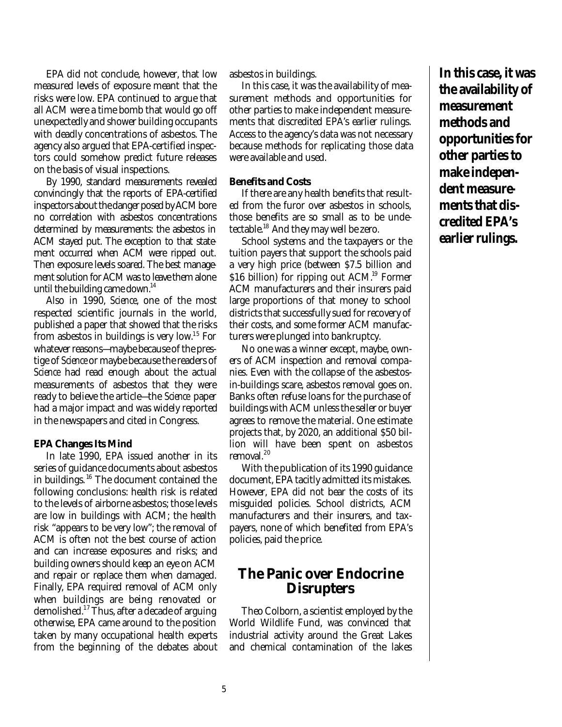EPA did not conclude, however, that low measured levels of exposure meant that the risks were low. EPA continued to argue that all ACM were a time bomb that would go off unexpectedly and shower building occupants with deadly concentrations of asbestos. The agency also argued that EPA-certified inspectors could somehow predict future releases on the basis of visual inspections.

By 1990, standard measurements revealed convincingly that the reports of EPA-certified inspectors about the danger posed by ACM bore no correlation with asbestos concentrations determined by measurements: the asbestos in ACM stayed put. The exception to that statement occurred when ACM were ripped out. Then exposure levels soared. The best management solution for ACM was to leave them alone until the building came down. $^{14}$ 

Also in 1990, *Science*, one of the most respected scientific journals in the world, published a paper that showed that the risks from asbestos in buildings is very low.<sup>15</sup> For whatever reasons—maybe because of the prestige of *Science* or maybe because the readers of *Science* had read enough about the actual measurements of asbestos that they were ready to believe the article—the *Science* paper had a major impact and was widely reported in the newspapers and cited in Congress.

#### **EPA Changes Its Mind**

In late 1990, EPA issued another in its series of guidance documents about asbestos in buildings. <sup>16</sup> The document contained the following conclusions: health risk is related to the levels of airborne asbestos; those levels are low in buildings with ACM; the health risk "appears to be very low"; the removal of ACM is often not the best course of action and can increase exposures and risks; and building owners should keep an eye on ACM and repair or replace them when damaged. Finally, EPA required removal of ACM only when buildings are being renovated or demolished.<sup>17</sup> Thus, after a decade of arguing otherwise, EPA came around to the position taken by many occupational health experts from the beginning of the debates about asbestos in buildings.

In this case, it was the availability of measurement methods and opportunities for other parties to make independent measurements that discredited EPA's earlier rulings. Access to the agency's data was not necessary because methods for replicating those data were available and used.

#### **Benefits and Costs**

If there are any health benefits that resulted from the furor over asbestos in schools, those benefits are so small as to be undetectable.<sup>18</sup> And they may well be zero.

School systems and the taxpayers or the tuition payers that support the schools paid a very high price (between \$7.5 billion and \$16 billion) for ripping out  $ACM<sup>19</sup>$  Former ACM manufacturers and their insurers paid large proportions of that money to school districts that successfully sued for recovery of their costs, and some former ACM manufacturers were plunged into bankruptcy.

No one was a winner except, maybe, owners of ACM inspection and removal companies. Even with the collapse of the asbestosin-buildings scare, asbestos removal goes on. Banks often refuse loans for the purchase of buildings with ACM unless the seller or buyer agrees to remove the material. One estimate projects that, by 2020, an additional \$50 billion will have been spent on asbestos removal.<sup>20</sup>

With the publication of its 1990 guidance document, EPA tacitly admitted its mistakes. However, EPA did not bear the costs of its misguided policies. School districts, ACM manufacturers and their insurers, and taxpayers, none of which benefited from EPA's policies, paid the price.

### **The Panic over Endocrine Disrupters**

Theo Colborn, a scientist employed by the World Wildlife Fund, was convinced that industrial activity around the Great Lakes and chemical contamination of the lakes

5

**In this case, it was the availability of measurement methods and opportunities for other parties to make independent measurements that discredited EPA's earlier rulings.**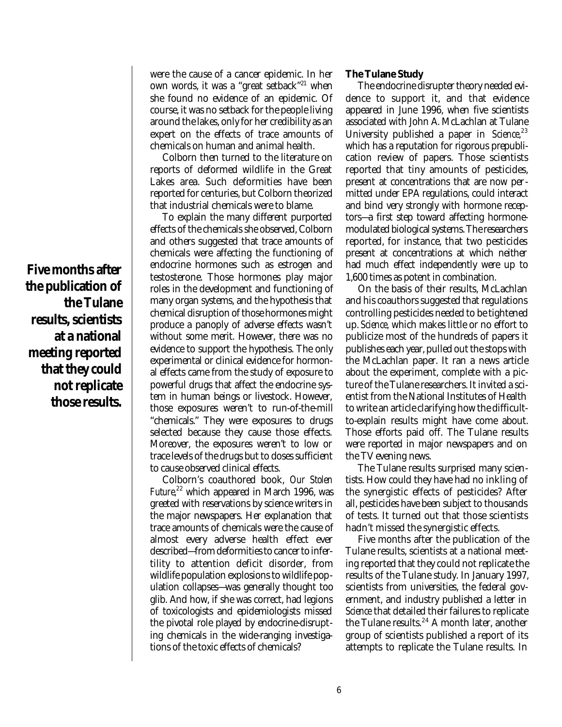**Five months after the publication of the Tulane results, scientists at a national meeting reported that they could not replicate those results.**

were the cause of a cancer epidemic. In her own words, it was a "great setback"<sup>21</sup> when she found no evidence of an epidemic. Of course, it was no setback for the people living around the lakes, only for her credibility as an expert on the effects of trace amounts of chemicals on human and animal health.

Colborn then turned to the literature on reports of deformed wildlife in the Great Lakes area. Such deformities have been reported for centuries, but Colborn theorized that industrial chemicals were to blame.

To explain the many different purported effects of the chemicals she observed, Colborn and others suggested that trace amounts of chemicals were affecting the functioning of endocrine hormones such as estrogen and testosterone. Those hormones play major roles in the development and functioning of many organ systems, and the hypothesis that chemical disruption of those hormones might produce a panoply of adverse effects wasn't without some merit. However, there was no evidence to support the hypothesis. The only experimental or clinical evidence for hormonal effects came from the study of exposure to powerful drugs that affect the endocrine system in human beings or livestock. However, those exposures weren't to run-of-the-mill "chemicals." They were exposures to drugs selected because they cause those effects. Moreover, the exposures weren't to low or trace levels of the drugs but to doses sufficient to cause observed clinical effects.

Colborn's coauthored book, *Our Stolen Future*,<sup>22</sup> which appeared in March 1996, was greeted with reservations by science writers in the major newspapers. Her explanation that trace amounts of chemicals were the cause of almost every adverse health effect ever described—from deformities to cancer to infertility to attention deficit disorder, from wildlife population explosions to wildlife population collapses—was generally thought too glib. And how, if she was correct, had legions of toxicologists and epidemiologists missed the pivotal role played by endocrine-disrupting chemicals in the wide-ranging investigations of the toxic effects of chemicals?

#### **The Tulane Study**

The endocrine disrupter theory needed evidence to support it, and that evidence appeared in June 1996, when five scientists associated with John A. McLachlan at Tulane University published a paper in *Science*,<sup>23</sup> which has a reputation for rigorous prepublication review of papers. Those scientists reported that tiny amounts of pesticides, present at concentrations that are now permitted under EPA regulations, could interact and bind very strongly with hormone receptors—a first step toward affecting hormonemodulated biological systems. The researchers reported, for instance, that two pesticides present at concentrations at which neither had much effect independently were up to 1,600 times as potent in combination.

On the basis of their results, McLachlan and his coauthors suggested that regulations controlling pesticides needed to be tightened up. *Science,* which makes little or no effort to publicize most of the hundreds of papers it publishes each year, pulled out the stops with the McLachlan paper. It ran a news article about the experiment, complete with a picture of the Tulane researchers. It invited a scientist from the National Institutes of Health to write an article clarifying how the difficultto-explain results might have come about. Those efforts paid off. The Tulane results were reported in major newspapers and on the TV evening news.

The Tulane results surprised many scientists. How could they have had no inkling of the synergistic effects of pesticides? After all, pesticides have been subject to thousands of tests. It turned out that those scientists hadn't missed the synergistic effects.

Five months after the publication of the Tulane results, scientists at a national meeting reported that they could not replicate the results of the Tulane study. In January 1997, scientists from universities, the federal government, and industry published a letter in *Science* that detailed their failures to replicate the Tulane results.<sup>24</sup> A month later, another group of scientists published a report of its attempts to replicate the Tulane results. In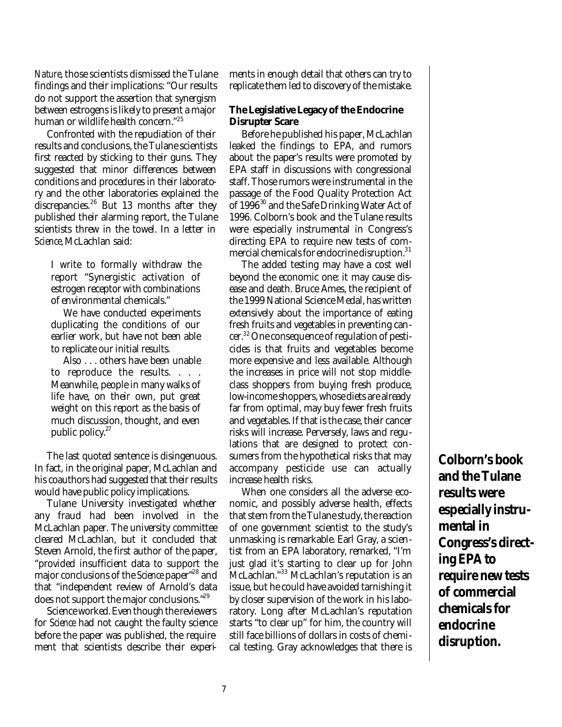*Nature,*those scientists dismissed the Tulane findings and their implications: "Our results do not support the assertion that synergism between estrogens is likely to present a major human or wildlife health concern."<sup>25</sup>

Confronted with the repudiation of their results and conclusions, the Tulane scientists first reacted by sticking to their guns. They suggested that minor differences between conditions and procedures in their laboratory and the other laboratories explained the discrepancies.<sup>26</sup> But 13 months after they published their alarming report, the Tulane scientists threw in the towel. In a letter in *Science,*McLachlan said:

I write to formally withdraw the report "Synergistic activation of estrogen receptor with combinations of environmental chemicals."

We have conducted experiments duplicating the conditions of our earlier work, but have not been able to replicate our initial results.

Also . . . others have been unable to reproduce the results. . . . Meanwhile, people in many walks of life have, on their own, put great weight on this report as the basis of much discussion, thought, and even public policy.<sup>27</sup>

The last quoted sentence is disingenuous. In fact, in the original paper, McLachlan and his coauthors had suggested that their results would have public policy implications.

Tulane University investigated whether any fraud had been involved in the McLachlan paper. The university committee cleared McLachlan, but it concluded that Steven Arnold, the first author of the paper, "provided insufficient data to support the major conclusions of the *Science* paper"<sup>28</sup> and that "independent review of Arnold's data does not support the major conclusions."<sup>29</sup>

Science worked. Even though the reviewers for *Science* had not caught the faulty science before the paper was published, the requirement that scientists describe their experiments in enough detail that others can try to replicate them led to discovery of the mistake.

#### **The Legislative Legacy of the Endocrine Disrupter Scare**

Before he published his paper, McLachlan leaked the findings to EPA, and rumors about the paper's results were promoted by EPA staff in discussions with congressional staff. Those rumors were instrumental in the passage of the Food Quality Protection Act of 1996<sup>30</sup> and the Safe Drinking Water Act of 1996. Colborn's book and the Tulane results were especially instrumental in Congress's directing EPA to require new tests of commercial chemicals for endocrine disruption.<sup>31</sup>

The added testing may have a cost well beyond the economic one: it may cause disease and death. Bruce Ames, the recipient of the 1999 National Science Medal, has written extensively about the importance of eating fresh fruits and vegetables in preventing cancer.32One consequence of regulation of pesticides is that fruits and vegetables become more expensive and less available. Although the increases in price will not stop middleclass shoppers from buying fresh produce, low-income shoppers, whose diets are already far from optimal, may buy fewer fresh fruits and vegetables. If that is the case, their cancer risks will increase. Perversely, laws and regulations that are designed to protect consumers from the hypothetical risks that may accompany pesticide use can actually increase health risks.

When one considers all the adverse economic, and possibly adverse health, effects that stem from the Tulane study, the reaction of one government scientist to the study's unmasking is remarkable. Earl Gray, a scientist from an EPA laboratory, remarked, "I'm just glad it's starting to clear up for John McLachlan."<sup>33</sup> McLachlan's reputation is an issue, but he could have avoided tarnishing it by closer supervision of the work in his laboratory. Long after McLachlan's reputation starts "to clear up" for him, the country will still face billions of dollars in costs of chemical testing. Gray acknowledges that there is **Colborn's book and the Tulane results were especially instrumental in Congress's directing EPA to require new tests of commercial chemicals for endocrine disruption.**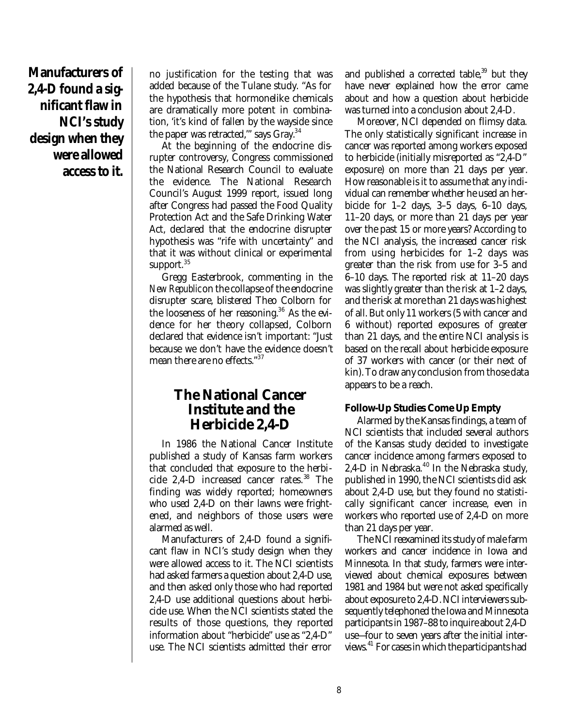**Manufacturers of 2,4-D found a significant flaw in NCI's study design when they were allowed access to it.**

no justification for the testing that was added because of the Tulane study. "As for the hypothesis that hormonelike chemicals are dramatically more potent in combination, 'it's kind of fallen by the wayside since the paper was retracted," says Gray.<sup>34</sup>

At the beginning of the endocrine disrupter controversy, Congress commissioned the National Research Council to evaluate the evidence. The National Research Council's August 1999 report, issued long after Congress had passed the Food Quality Protection Act and the Safe Drinking Water Act, declared that the endocrine disrupter hypothesis was "rife with uncertainty" and that it was without clinical or experimental support.<sup>35</sup>

Gregg Easterbrook, commenting in the *New Republic*on the collapse of the endocrine disrupter scare, blistered Theo Colborn for the looseness of her reasoning.<sup>36</sup> As the evidence for her theory collapsed, Colborn declared that evidence isn't important: "Just because we don't have the evidence doesn't mean there are no effects."<sup>37</sup>

### **The National Cancer Institute and the Herbicide 2,4-D**

In 1986 the National Cancer Institute published a study of Kansas farm workers that concluded that exposure to the herbicide 2,4-D increased cancer rates.<sup>38</sup> The finding was widely reported; homeowners who used 2,4-D on their lawns were frightened, and neighbors of those users were alarmed as well.

Manufacturers of 2,4-D found a significant flaw in NCI's study design when they were allowed access to it. The NCI scientists had asked farmers a question about 2,4-D use, and then asked only those who had reported 2,4-D use additional questions about herbicide use. When the NCI scientists stated the results of those questions, they reported information about "herbicide" use as "2,4-D" use. The NCI scientists admitted their error

and published a corrected table, $39$  but they have never explained how the error came about and how a question about herbicide was turned into a conclusion about 2,4-D.

Moreover, NCI depended on flimsy data. The only statistically significant increase in cancer was reported among workers exposed to herbicide (initially misreported as "2,4-D" exposure) on more than 21 days per year. How reasonable is it to assume that any individual can remember whether he used an herbicide for  $1-2$  days,  $3-5$  days,  $6-10$  days, 11–20 days, or more than 21 days per year over the past 15 or more years? According to the NCI analysis, the increased cancer risk from using herbicides for 1–2 days was greater than the risk from use for 3–5 and 6–10 days. The reported risk at 11–20 days was slightly greater than the risk at 1–2 days, and the risk at more than 21 days was highest of all. But only 11 workers (5 with cancer and 6 without) reported exposures of greater than 21 days, and the entire NCI analysis is based on the recall about herbicide exposure of 37 workers with cancer (or their next of kin). To draw any conclusion from those data appears to be a reach.

#### **Follow-Up Studies Come Up Empty**

Alarmed by the Kansas findings, a team of NCI scientists that included several authors of the Kansas study decided to investigate cancer incidence among farmers exposed to 2,4-D in Nebraska.<sup>40</sup> In the Nebraska study, published in 1990, the NCI scientists did ask about 2,4-D use, but they found no statistically significant cancer increase, even in workers who reported use of 2,4-D on more than 21 days per year.

The NCI reexamined its study of male farm workers and cancer incidence in Iowa and Minnesota. In that study, farmers were interviewed about chemical exposures between 1981 and 1984 but were not asked specifically about exposure to 2,4-D. NCI interviewers subsequently telephoned the Iowa and Minnesota participants in 1987–88 to inquire about 2,4-D use—four to seven years after the initial interviews.<sup>41</sup> For cases in which the participants had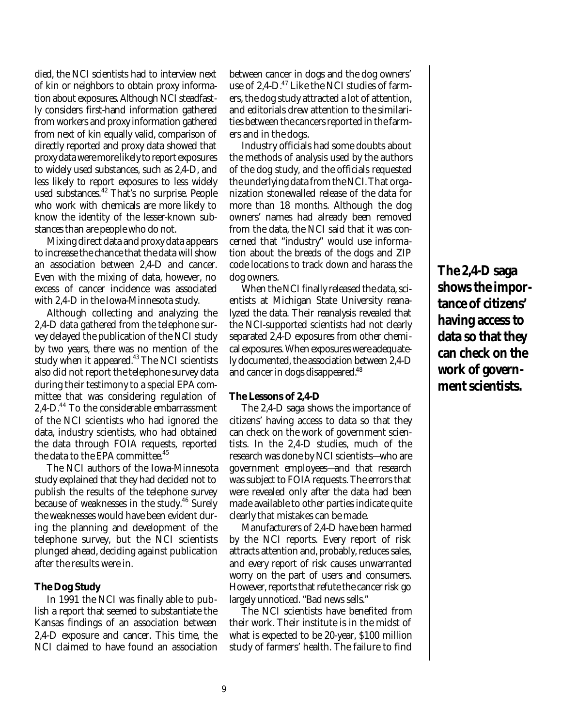died, the NCI scientists had to interview next of kin or neighbors to obtain proxy information about exposures. Although NCI steadfastly considers first-hand information gathered from workers and proxy information gathered from next of kin equally valid, comparison of directly reported and proxy data showed that proxy data were more likely to report exposures to widely used substances, such as 2,4-D, and less likely to report exposures to less widely used substances.<sup>42</sup> That's no surprise. People who work with chemicals are more likely to know the identity of the lesser-known substances than are people who do not.

Mixing direct data and proxy data appears to increase the chance that the data will show an association between 2,4-D and cancer. Even with the mixing of data, however, no excess of cancer incidence was associated with 2,4-D in the Iowa-Minnesota study.

Although collecting and analyzing the 2,4-D data gathered from the telephone survey delayed the publication of the NCI study by two years, there was no mention of the study when it appeared.<sup>43</sup> The NCI scientists also did not report the telephone survey data during their testimony to a special EPA committee that was considering regulation of 2,4-D.<sup>44</sup> To the considerable embarrassment of the NCI scientists who had ignored the data, industry scientists, who had obtained the data through FOIA requests, reported the data to the EPA committee.<sup>45</sup>

The NCI authors of the Iowa-Minnesota study explained that they had decided not to publish the results of the telephone survey because of weaknesses in the study.<sup>46</sup> Surely the weaknesses would have been evident during the planning and development of the telephone survey, but the NCI scientists plunged ahead, deciding against publication after the results were in.

#### **The Dog Study**

In 1991 the NCI was finally able to publish a report that seemed to substantiate the Kansas findings of an association between 2,4-D exposure and cancer. This time, the NCI claimed to have found an association between cancer in dogs and the dog owners' use of 2,4-D.<sup>47</sup> Like the NCI studies of farmers, the dog study attracted a lot of attention, and editorials drew attention to the similarities between the cancers reported in the farmers and in the dogs.

Industry officials had some doubts about the methods of analysis used by the authors of the dog study, and the officials requested the underlying data from the NCI. That organization stonewalled release of the data for more than 18 months. Although the dog owners' names had already been removed from the data, the NCI said that it was concerned that "industry" would use information about the breeds of the dogs and ZIP code locations to track down and harass the dog owners.

When the NCI finally released the data, scientists at Michigan State University reanalyzed the data. Their reanalysis revealed that the NCI-supported scientists had not clearly separated 2,4-D exposures from other chemical exposures. When exposures were adequately documented, the association between 2,4-D and cancer in dogs disappeared.<sup>48</sup>

#### **The Lessons of 2,4-D**

The 2,4-D saga shows the importance of citizens' having access to data so that they can check on the work of government scientists. In the 2,4-D studies, much of the research was done by NCI scientists—who are government employees—and that research was subject to FOIA requests. The errors that were revealed only after the data had been made available to other parties indicate quite clearly that mistakes can be made.

Manufacturers of 2,4-D have been harmed by the NCI reports. Every report of risk attracts attention and, probably, reduces sales, and every report of risk causes unwarranted worry on the part of users and consumers. However, reports that refute the cancer risk go largely unnoticed. "Bad news sells."

The NCI scientists have benefited from their work. Their institute is in the midst of what is expected to be 20-year, \$100 million study of farmers' health. The failure to find

**The 2,4-D saga shows the importance of citizens' having access to data so that they can check on the work of government scientists.**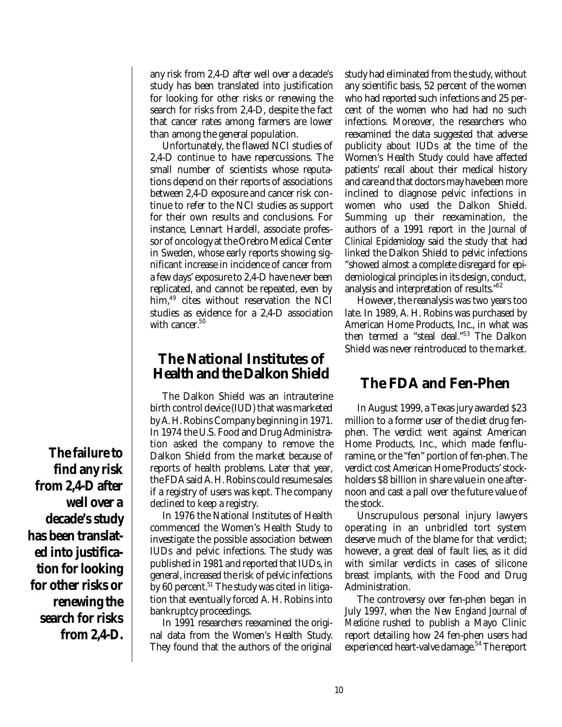any risk from 2,4-D after well over a decade's study has been translated into justification for looking for other risks or renewing the search for risks from 2,4-D, despite the fact that cancer rates among farmers are lower than among the general population.

Unfortunately, the flawed NCI studies of 2,4-D continue to have repercussions. The small number of scientists whose reputations depend on their reports of associations between 2,4-D exposure and cancer risk continue to refer to the NCI studies as support for their own results and conclusions. For instance, Lennart Hardell, associate professor of oncology at the Orebro Medical Center in Sweden, whose early reports showing significant increase in incidence of cancer from a few days' exposure to 2,4-D have never been replicated, and cannot be repeated, even by him,<sup>49</sup> cites without reservation the NCI studies as evidence for a 2,4-D association with cancer.<sup>50</sup>

### **The National Institutes of Health and the Dalkon Shield**

The Dalkon Shield was an intrauterine birth control device (IUD) that was marketed by A. H. Robins Company beginning in 1971. In 1974 the U.S. Food and Drug Administration asked the company to remove the Dalkon Shield from the market because of reports of health problems. Later that year, the FDA said A. H. Robins could resume sales if a registry of users was kept. The company declined to keep a registry.

In 1976 the National Institutes of Health commenced the Women's Health Study to investigate the possible association between IUDs and pelvic infections. The study was published in 1981 and reported that IUDs, in general, increased the risk of pelvic infections by 60 percent.<sup>51</sup> The study was cited in litigation that eventually forced A. H. Robins into bankruptcy proceedings.

In 1991 researchers reexamined the original data from the Women's Health Study. They found that the authors of the original study had eliminated from the study, without any scientific basis, 52 percent of the women who had reported such infections and 25 percent of the women who had had no such infections. Moreover, the researchers who reexamined the data suggested that adverse publicity about IUDs at the time of the Women's Health Study could have affected patients' recall about their medical history and care and that doctors may have been more inclined to diagnose pelvic infections in women who used the Dalkon Shield. Summing up their reexamination, the authors of a 1991 report in the *Journal of Clinical Epidemiology* said the study that had linked the Dalkon Shield to pelvic infections "showed almost a complete disregard for epidemiological principles in its design, conduct, analysis and interpretation of results."<sup>52</sup>

However, the reanalysis was two years too late. In 1989, A. H. Robins was purchased by American Home Products, Inc., in what was then termed a "steal deal."<sup>53</sup> The Dalkon Shield was never reintroduced to the market.

### **The FDA and Fen-Phen**

In August 1999, a Texas jury awarded \$23 million to a former user of the diet drug fenphen. The verdict went against American Home Products, Inc., which made fenfluramine, or the "fen" portion of fen-phen. The verdict cost American Home Products' stockholders \$8 billion in share value in one afternoon and cast a pall over the future value of the stock.

Unscrupulous personal injury lawyers operating in an unbridled tort system deserve much of the blame for that verdict; however, a great deal of fault lies, as it did with similar verdicts in cases of silicone breast implants, with the Food and Drug Administration.

The controversy over fen-phen began in July 1997, when the *New England Journal of Medicine* rushed to publish a Mayo Clinic report detailing how 24 fen-phen users had experienced heart-valve damage.<sup>54</sup> The report

**The failure to find any risk from 2,4-D after well over a decade's study has been translated into justification for looking for other risks or renewing the search for risks from 2,4-D.**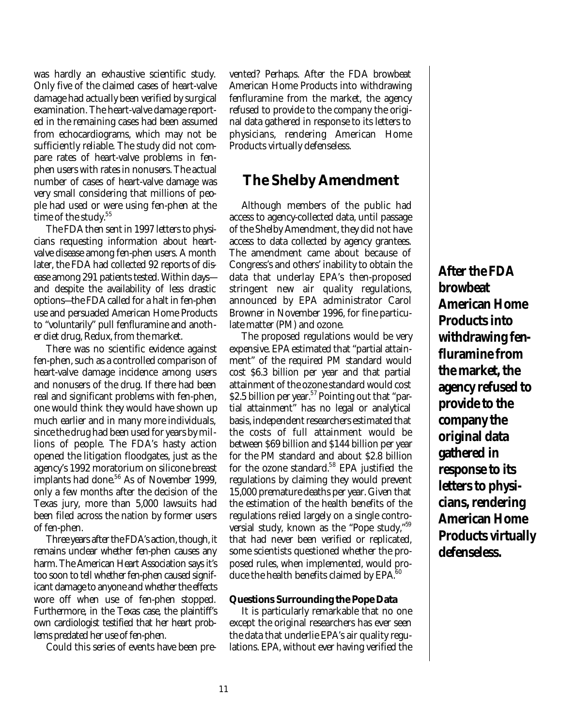was hardly an exhaustive scientific study. Only five of the claimed cases of heart-valve damage had actually been verified by surgical examination. The heart-valve damage reported in the remaining cases had been assumed from echocardiograms, which may not be sufficiently reliable. The study did not compare rates of heart-valve problems in fenphen users with rates in nonusers. The actual number of cases of heart-valve damage was very small considering that millions of people had used or were using fen-phen at the time of the study.<sup>55</sup>

The FDA then sent in 1997 letters to physicians requesting information about heartvalve disease among fen-phen users. A month later, the FDA had collected 92 reports of disease among 291 patients tested. Within days and despite the availability of less drastic options—the FDA called for a halt in fen-phen use and persuaded American Home Products to "voluntarily" pull fenfluramine and another diet drug, Redux, from the market.

There was no scientific evidence against fen-phen, such as a controlled comparison of heart-valve damage incidence among users and nonusers of the drug. If there had been real and significant problems with fen-phen, one would think they would have shown up much earlier and in many more individuals, since the drug had been used for years by millions of people. The FDA's hasty action opened the litigation floodgates, just as the agency's 1992 moratorium on silicone breast implants had done.<sup>56</sup> As of November 1999, only a few months after the decision of the Texas jury, more than 5,000 lawsuits had been filed across the nation by former users of fen-phen.

Three years after the FDA's action, though, it remains unclear whether fen-phen causes any harm. The American Heart Association says it's too soon to tell whether fen-phen caused significant damage to anyone and whether the effects wore off when use of fen-phen stopped. Furthermore, in the Texas case, the plaintiff's own cardiologist testified that her heart problems predated her use of fen-phen.

Could this series of events have been pre-

vented? Perhaps. After the FDA browbeat American Home Products into withdrawing fenfluramine from the market, the agency refused to provide to the company the original data gathered in response to its letters to physicians, rendering American Home Products virtually defenseless.

### **The Shelby Amendment**

Although members of the public had access to agency-collected data, until passage of the Shelby Amendment, they did not have access to data collected by agency grantees. The amendment came about because of Congress's and others' inability to obtain the data that underlay EPA's then-proposed stringent new air quality regulations, announced by EPA administrator Carol Browner in November 1996, for fine particulate matter (PM) and ozone.

The proposed regulations would be very expensive. EPA estimated that "partial attainment" of the required PM standard would cost \$6.3 billion per year and that partial attainment of the ozone standard would cost \$2.5 billion per year.<sup>57</sup> Pointing out that "partial attainment" has no legal or analytical basis, independent researchers estimated that the costs of full attainment would be between \$69 billion and \$144 billion per year for the PM standard and about \$2.8 billion for the ozone standard.<sup>58</sup> EPA justified the regulations by claiming they would prevent 15,000 premature deaths per year. Given that the estimation of the health benefits of the regulations relied largely on a single controversial study, known as the "Pope study,"<sup>59</sup> that had never been verified or replicated, some scientists questioned whether the proposed rules, when implemented, would produce the health benefits claimed by  $EPA<sup>60</sup>$ 

#### **Questions Surrounding the Pope Data**

It is particularly remarkable that no one except the original researchers has ever seen the data that underlie EPA's air quality regulations. EPA, without ever having verified the

**After the FDA browbeat American Home Products into withdrawing fenfluramine from the market, the agency refused to provide to the company the original data gathered in response to its letters to physicians, rendering American Home Products virtually defenseless.**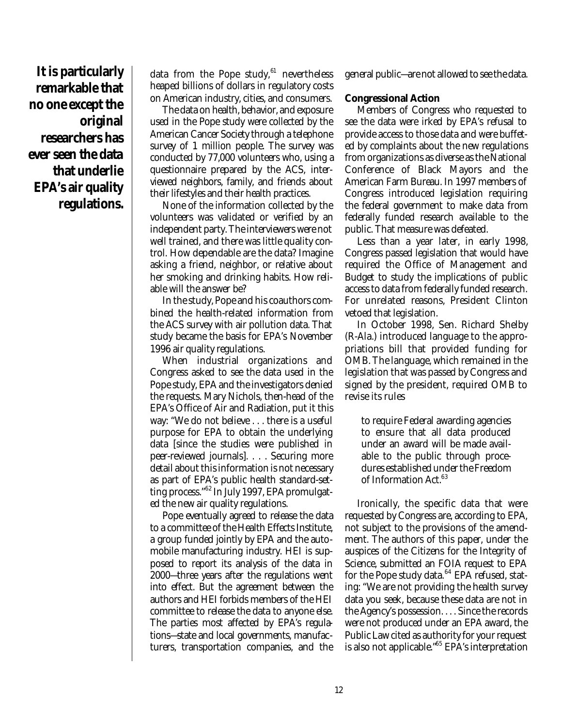**It is particularly remarkable that no one except the original researchers has ever seen the data that underlie EPA's air quality regulations.**

data from the Pope study, $61$  nevertheless heaped billions of dollars in regulatory costs on American industry, cities, and consumers.

The data on health, behavior, and exposure used in the Pope study were collected by the American Cancer Society through a telephone survey of 1 million people. The survey was conducted by 77,000 volunteers who, using a questionnaire prepared by the ACS, interviewed neighbors, family, and friends about their lifestyles and their health practices.

None of the information collected by the volunteers was validated or verified by an independent party. The interviewers were not well trained, and there was little quality control. How dependable are the data? Imagine asking a friend, neighbor, or relative about her smoking and drinking habits. How reliable will the answer be?

In the study, Pope and his coauthors combined the health-related information from the ACS survey with air pollution data. That study became the basis for EPA's November 1996 air quality regulations.

When industrial organizations and Congress asked to see the data used in the Pope study, EPA and the investigators denied the requests. Mary Nichols, then-head of the EPA's Office of Air and Radiation, put it this way: "We do not believe . . . there is a useful purpose for EPA to obtain the underlying data [since the studies were published in peer-reviewed journals]. . . . Securing more detail about this information is not necessary as part of EPA's public health standard-setting process."<sup>62</sup> In July 1997, EPA promulgated the new air quality regulations.

Pope eventually agreed to release the data to a committee of the Health Effects Institute, a group funded jointly by EPA and the automobile manufacturing industry. HEI is supposed to report its analysis of the data in 2000—three years after the regulations went into effect. But the agreement between the authors and HEI forbids members of the HEI committee to release the data to anyone else. The parties most affected by EPA's regulations—state and local governments, manufacturers, transportation companies, and the

general public—are not allowed to see the data.

#### **Congressional Action**

Members of Congress who requested to see the data were irked by EPA's refusal to provide access to those data and were buffeted by complaints about the new regulations from organizations as diverse as the National Conference of Black Mayors and the American Farm Bureau. In 1997 members of Congress introduced legislation requiring the federal government to make data from federally funded research available to the public. That measure was defeated.

Less than a year later, in early 1998, Congress passed legislation that would have required the Office of Management and Budget to study the implications of public access to data from federally funded research. For unrelated reasons, President Clinton vetoed that legislation.

In October 1998, Sen. Richard Shelby (R-Ala.) introduced language to the appropriations bill that provided funding for OMB. The language, which remained in the legislation that was passed by Congress and signed by the president, required OMB to revise its rules

to require Federal awarding agencies to ensure that all data produced under an award will be made available to the public through procedures established under the Freedom of Information Act.<sup>63</sup>

Ironically, the specific data that were requested by Congress are, according to EPA, not subject to the provisions of the amendment. The authors of this paper, under the auspices of the Citizens for the Integrity of Science, submitted an FOIA request to EPA for the Pope study data. $64$  EPA refused, stating: "We are not providing the health survey data you seek, because these data are not in the Agency's possession. . . . Since the records were not produced under an EPA award, the Public Law cited as authority for your request is also not applicable."<sup>65</sup> EPA's interpretation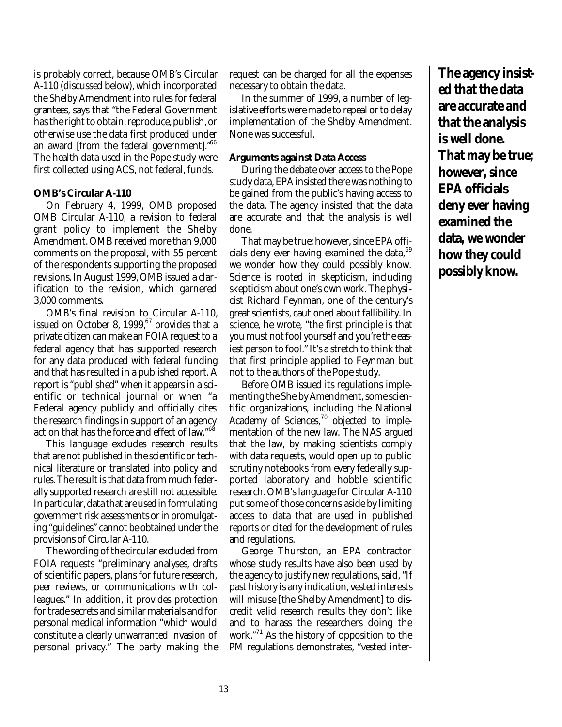is probably correct, because OMB's Circular A-110 (discussed below), which incorporated the Shelby Amendment into rules for federal grantees, says that "the Federal Government has the right to obtain, reproduce, publish, or otherwise use the data first produced under an award [from the federal government]."<sup>66</sup> The health data used in the Pope study were first collected using ACS, not federal, funds.

#### **OMB's Circular A-110**

On February 4, 1999, OMB proposed OMB Circular A-110, a revision to federal grant policy to implement the Shelby Amendment. OMB received more than 9,000 comments on the proposal, with 55 percent of the respondents supporting the proposed revisions. In August 1999, OMB issued a clarification to the revision, which garnered 3,000 comments.

OMB's final revision to Circular A-110, issued on October 8,  $1999, ^{67}$  provides that a private citizen can make an FOIA request to a federal agency that has supported research for any data produced with federal funding and that has resulted in a published report. A report is "published" when it appears in a scientific or technical journal or when "a Federal agency publicly and officially cites the research findings in support of an agency action that has the force and effect of law."<sup>68</sup>

This language excludes research results that are not published in the scientific or technical literature or translated into policy and rules. The result is that data from much federally supported research are still not accessible. In particular, data that are used in formulating government risk assessments or in promulgating "guidelines" cannot be obtained under the provisions of Circular A-110.

The wording of the circular excluded from FOIA requests "preliminary analyses, drafts of scientific papers, plans for future research, peer reviews, or communications with colleagues." In addition, it provides protection for trade secrets and similar materials and for personal medical information "which would constitute a clearly unwarranted invasion of personal privacy." The party making the request can be charged for all the expenses necessary to obtain the data.

In the summer of 1999, a number of legislative efforts were made to repeal or to delay implementation of the Shelby Amendment. None was successful.

#### **Arguments against Data Access**

During the debate over access to the Pope study data, EPA insisted there was nothing to be gained from the public's having access to the data. The agency insisted that the data are accurate and that the analysis is well done.

That may be true; however, since EPA officials deny ever having examined the data, <sup>69</sup> we wonder how they could possibly know. Science is rooted in skepticism, including skepticism about one's own work. The physicist Richard Feynman, one of the century's great scientists, cautioned about fallibility. In science, he wrote, "the first principle is that you must not fool yourself and you're the easiest person to fool." It's a stretch to think that that first principle applied to Feynman but not to the authors of the Pope study.

Before OMB issued its regulations implementing the Shelby Amendment, some scientific organizations, including the National Academy of Sciences,<sup>70</sup> objected to implementation of the new law. The NAS argued that the law, by making scientists comply with data requests, would open up to public scrutiny notebooks from every federally supported laboratory and hobble scientific research. OMB's language for Circular A-110 put some of those concerns aside by limiting access to data that are used in published reports or cited for the development of rules and regulations.

George Thurston, an EPA contractor whose study results have also been used by the agency to justify new regulations, said, "If past history is any indication, vested interests will misuse [the Shelby Amendment] to discredit valid research results they don't like and to harass the researchers doing the work."<sup>71</sup> As the history of opposition to the PM regulations demonstrates, "vested inter**The agency insisted that the data are accurate and that the analysis is well done. That may be true; however, since EPA officials deny ever having examined the data, we wonder how they could possibly know.**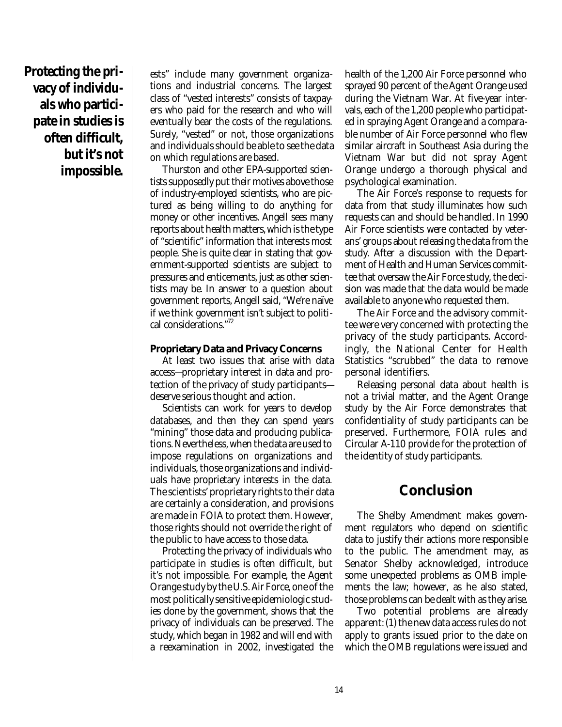**Protecting the privacy of individuals who participate in studies is often difficult, but it's not impossible.**

ests" include many government organizations and industrial concerns. The largest class of "vested interests" consists of taxpayers who paid for the research and who will eventually bear the costs of the regulations. Surely, "vested" or not, those organizations and individuals should be able to see the data on which regulations are based.

Thurston and other EPA-supported scientists supposedly put their motives above those of industry-employed scientists, who are pictured as being willing to do anything for money or other incentives. Angell sees many reports about health matters, which is the type of "scientific" information that interests most people. She is quite clear in stating that government-supported scientists are subject to pressures and enticements, just as other scientists may be. In answer to a question about government reports, Angell said, "We're naïve if we think government isn't subject to political considerations."<sup>72</sup>

#### **Proprietary Data and Privacy Concerns**

At least two issues that arise with data access—proprietary interest in data and protection of the privacy of study participants deserve serious thought and action.

Scientists can work for years to develop databases, and then they can spend years "mining" those data and producing publications. Nevertheless, when the data are used to impose regulations on organizations and individuals, those organizations and individuals have proprietary interests in the data. The scientists' proprietary rights to their data are certainly a consideration, and provisions are made in FOIA to protect them. However, those rights should not override the right of the public to have access to those data.

Protecting the privacy of individuals who participate in studies is often difficult, but it's not impossible. For example, the Agent Orange study by the U.S. Air Force, one of the most politically sensitive epidemiologic studies done by the government, shows that the privacy of individuals can be preserved. The study, which began in 1982 and will end with a reexamination in 2002, investigated the health of the 1,200 Air Force personnel who sprayed 90 percent of the Agent Orange used during the Vietnam War. At five-year intervals, each of the 1,200 people who participated in spraying Agent Orange and a comparable number of Air Force personnel who flew similar aircraft in Southeast Asia during the Vietnam War but did not spray Agent Orange undergo a thorough physical and psychological examination.

The Air Force's response to requests for data from that study illuminates how such requests can and should be handled. In 1990 Air Force scientists were contacted by veterans' groups about releasing the data from the study. After a discussion with the Department of Health and Human Services committee that oversaw the Air Force study, the decision was made that the data would be made available to anyone who requested them.

The Air Force and the advisory committee were very concerned with protecting the privacy of the study participants. Accordingly, the National Center for Health Statistics "scrubbed" the data to remove personal identifiers.

Releasing personal data about health is not a trivial matter, and the Agent Orange study by the Air Force demonstrates that confidentiality of study participants can be preserved. Furthermore, FOIA rules and Circular A-110 provide for the protection of the identity of study participants.

### **Conclusion**

The Shelby Amendment makes government regulators who depend on scientific data to justify their actions more responsible to the public. The amendment may, as Senator Shelby acknowledged, introduce some unexpected problems as OMB implements the law; however, as he also stated, those problems can be dealt with as they arise.

Two potential problems are already apparent: (1) the new data access rules do not apply to grants issued prior to the date on which the OMB regulations were issued and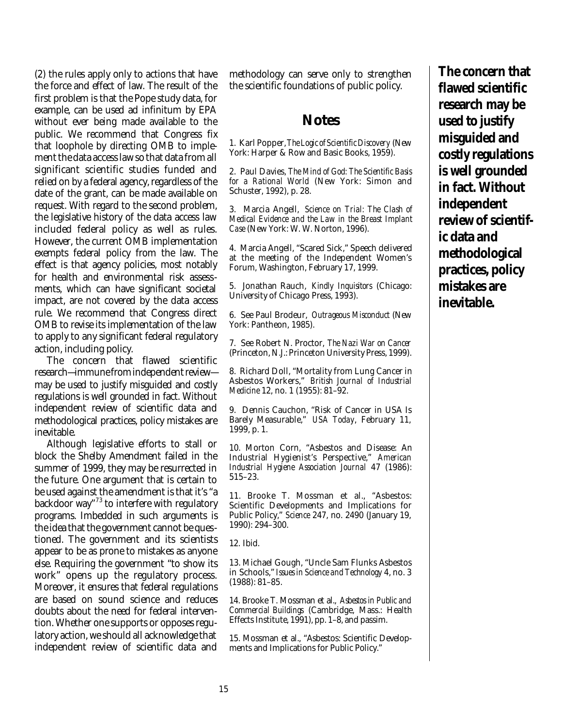(2) the rules apply only to actions that have the force and effect of law. The result of the first problem is that the Pope study data, for example, can be used ad infinitum by EPA without ever being made available to the public. We recommend that Congress fix that loophole by directing OMB to implement the data access law so that data from all significant scientific studies funded and relied on by a federal agency, regardless of the date of the grant, can be made available on request. With regard to the second problem, the legislative history of the data access law included federal policy as well as rules. However, the current OMB implementation exempts federal policy from the law. The effect is that agency policies, most notably for health and environmental risk assessments, which can have significant societal impact, are not covered by the data access rule. We recommend that Congress direct OMB to revise its implementation of the law to apply to any significant federal regulatory action, including policy.

The concern that flawed scientific research—immune from independent review may be used to justify misguided and costly regulations is well grounded in fact. Without independent review of scientific data and methodological practices, policy mistakes are inevitable.

Although legislative efforts to stall or block the Shelby Amendment failed in the summer of 1999, they may be resurrected in the future. One argument that is certain to be used against the amendment is that it's "a backdoor way"<sup>73</sup> to interfere with regulatory programs. Imbedded in such arguments is the idea that the government cannot be questioned. The government and its scientists appear to be as prone to mistakes as anyone else. Requiring the government "to show its work" opens up the regulatory process. Moreover, it ensures that federal regulations are based on sound science and reduces doubts about the need for federal intervention. Whether one supports or opposes regulatory action, we should all acknowledge that independent review of scientific data and

methodology can serve only to strengthen the scientific foundations of public policy.

### **Notes**

1. Karl Popper, *The Logic of Scientific Discovery* (New York: Harper & Row and Basic Books, 1959).

2. Paul Davies, *The Mind of God: The Scientific Basis for a Rational World* (New York: Simon and Schuster, 1992), p. 28.

3. Marcia Angell, *Science on Trial: The Clash of Medical Evidence and the Law in the Breast Implant Case* (New York: W. W. Norton, 1996).

4. Marcia Angell, "Scared Sick," Speech delivered at the meeting of the Independent Women's Forum, Washington, February 17, 1999.

5. Jonathan Rauch, *Kindly Inquisitors* (Chicago: University of Chicago Press, 1993).

6. See Paul Brodeur, *Outrageous Misconduct* (New York: Pantheon, 1985).

7. See Robert N. Proctor, *The Nazi War on Cancer* (Princeton, N.J.: Princeton University Press, 1999).

8. Richard Doll, "Mortality from Lung Cancer in Asbestos Workers," *British Journal of Industrial Medicine* 12, no. 1 (1955): 81–92.

9. Dennis Cauchon, "Risk of Cancer in USA Is Barely Measurable," *USA Today*, February 11, 1999, p. 1.

10. Morton Corn, "Asbestos and Disease: An Industrial Hygienist's Perspective," *American Industrial Hygiene Association Journal* 47 (1986): 515–23.

11. Brooke T. Mossman et al., "Asbestos: Scientific Developments and Implications for Public Policy," *Science* 247, no. 2490 (January 19, 1990): 294–300.

12. Ibid.

13. Michael Gough, "Uncle Sam Flunks Asbestos in Schools," *Issues in Science and Technology* 4, no. 3 (1988): 81–85.

14. Brooke T. Mossman et al., *Asbestos in Public and Commercial Buildings* (Cambridge, Mass.: Health Effects Institute, 1991), pp. 1–8, and passim.

15. Mossman et al., "Asbestos: Scientific Developments and Implications for Public Policy."

**The concern that flawed scientific research may be used to justify misguided and costly regulations is well grounded in fact. Without independent review of scientific data and methodological practices, policy mistakes are inevitable.**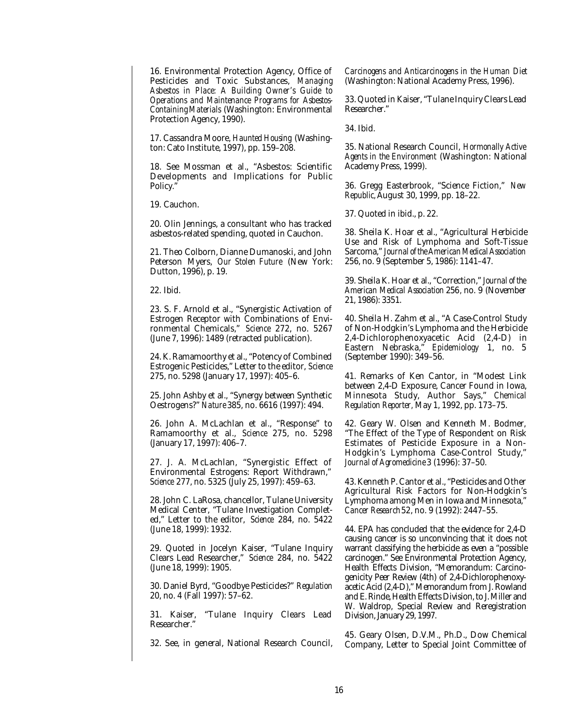16. Environmental Protection Agency, Office of Pesticides and Toxic Substances, *Managing Asbestos in Place: A Building Owner's Guide to Operations and Maintenance Programs for Asbestos-Containing Materials* (Washington: Environmental Protection Agency, 1990).

17. Cassandra Moore, *Haunted Housing* (Washington: Cato Institute, 1997), pp. 159–208.

18. See Mossman et al., "Asbestos: Scientific Developments and Implications for Public Policy."

19. Cauchon.

20. Olin Jennings, a consultant who has tracked asbestos-related spending, quoted in Cauchon.

21. Theo Colborn, Dianne Dumanoski, and John Peterson Myers, *Our Stolen Future* (New York: Dutton, 1996), p. 19.

22. Ibid.

23. S. F. Arnold et al., "Synergistic Activation of Estrogen Receptor with Combinations of Environmental Chemicals," *Science* 272, no. 5267 (June 7, 1996): 1489 (retracted publication).

24. K. Ramamoorthy et al., "Potency of Combined Estrogenic Pesticides," Letter to the editor, *Science* 275, no. 5298 (January 17, 1997): 405–6.

25. John Ashby et al., "Synergy between Synthetic Oestrogens?" *Nature* 385, no. 6616 (1997): 494.

26. John A. McLachlan et al., "Response" to Ramamoorthy et al., *Science* 275, no. 5298 (January 17, 1997): 406–7.

27. J. A. McLachlan, "Synergistic Effect of Environmental Estrogens: Report Withdrawn," *Science* 277, no. 5325 (July 25, 1997): 459–63.

28. John C. LaRosa, chancellor, Tulane University Medical Center, "Tulane Investigation Completed," Letter to the editor, *Science* 284, no. 5422 (June 18, 1999): 1932.

29. Quoted in Jocelyn Kaiser, "Tulane Inquiry Clears Lead Researcher," *Science* 284, no. 5422 (June 18, 1999): 1905.

30. Daniel Byrd, "Goodbye Pesticides?" *Regulation* 20, no. 4 (Fall 1997): 57–62.

31. Kaiser, "Tulane Inquiry Clears Lead Researcher."

32. See, in general, National Research Council,

*Carcinogens and Anticarcinogens in the Human Diet* (Washington: National Academy Press, 1996).

33. Quoted in Kaiser, "Tulane Inquiry Clears Lead Researcher."

34. Ibid.

35. National Research Council, *Hormonally Active Agents in the Environment* (Washington: National Academy Press, 1999).

36. Gregg Easterbrook, "Science Fiction," *New Republic,*August 30, 1999, pp. 18–22.

37. Quoted in ibid., p. 22.

38. Sheila K. Hoar et al., "Agricultural Herbicide Use and Risk of Lymphoma and Soft-Tissue Sarcoma," *Journal of the American Medical Association* 256, no. 9 (September 5, 1986): 1141–47.

39. Sheila K. Hoar et al., "Correction," *Journal of the American Medical Association* 256*,* no. 9 (November 21, 1986): 3351.

40. Sheila H. Zahm et al., "A Case-Control Study of Non-Hodgkin's Lymphoma and the Herbicide 2,4-Dichlorophenoxyacetic Acid (2,4-D) in Eastern Nebraska," *Epidemiology* 1, no. 5 (September 1990): 349–56.

41. Remarks of Ken Cantor, in "Modest Link between 2,4-D Exposure, Cancer Found in Iowa, Minnesota Study, Author Says," *Chemical Regulation Reporter,* May 1, 1992, pp. 173–75.

42. Geary W. Olsen and Kenneth M. Bodmer, "The Effect of the Type of Respondent on Risk Estimates of Pesticide Exposure in a Non-Hodgkin's Lymphoma Case-Control Study," *Journal of Agromedicine* 3 (1996): 37–50.

43. Kenneth P. Cantor et al., "Pesticides and Other Agricultural Risk Factors for Non-Hodgkin's Lymphoma among Men in Iowa and Minnesota," *Cancer Research* 52, no. 9 (1992): 2447–55.

44. EPA has concluded that the evidence for 2,4-D causing cancer is so unconvincing that it does not warrant classifying the herbicide as even a "possible carcinogen." See Environmental Protection Agency, Health Effects Division, "Memorandum: Carcinogenicity Peer Review (4th) of 2,4-Dichlorophenoxyacetic Acid (2,4-D)," Memorandum from J. Rowland and E. Rinde, Health Effects Division, to J. Miller and W. Waldrop, Special Review and Reregistration Division, January 29, 1997.

45. Geary Olsen, D.V.M., Ph.D., Dow Chemical Company, Letter to Special Joint Committee of